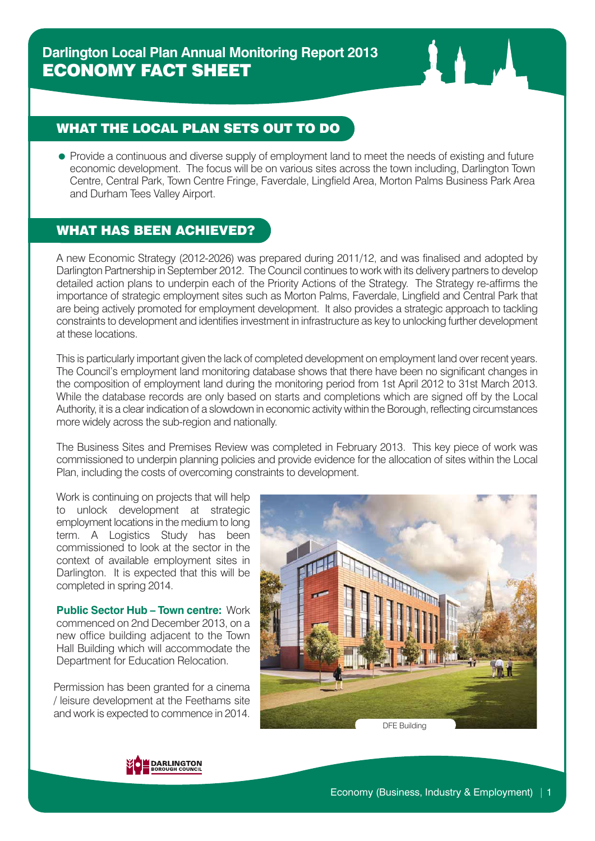# WHAT THE LOCAL PLAN SETS OUT TO DO

• Provide a continuous and diverse supply of employment land to meet the needs of existing and future economic development. The focus will be on various sites across the town including, Darlington Town Centre, Central Park, Town Centre Fringe, Faverdale, Lingfield Area, Morton Palms Business Park Area and Durham Tees Valley Airport.

### WHAT HAS BEEN ACHIEVED?

A new Economic Strategy (2012-2026) was prepared during 2011/12, and was finalised and adopted by Darlington Partnership in September 2012. The Council continues to work with its delivery partners to develop detailed action plans to underpin each of the Priority Actions of the Strategy. The Strategy re-affirms the importance of strategic employment sites such as Morton Palms, Faverdale, Lingfield and Central Park that are being actively promoted for employment development. It also provides a strategic approach to tackling constraints to development and identifies investment in infrastructure as key to unlocking further development at these locations.

This is particularly important given the lack of completed development on employment land over recent years. The Council's employment land monitoring database shows that there have been no significant changes in the composition of employment land during the monitoring period from 1st April 2012 to 31st March 2013. While the database records are only based on starts and completions which are signed off by the Local Authority, it is a clear indication of a slowdown in economic activity within the Borough, reflecting circumstances more widely across the sub-region and nationally.

The Business Sites and Premises Review was completed in February 2013. This key piece of work was commissioned to underpin planning policies and provide evidence for the allocation of sites within the Local Plan, including the costs of overcoming constraints to development.

Work is continuing on projects that will help to unlock development at strategic employment locations in the medium to long term. A Logistics Study has been commissioned to look at the sector in the context of available employment sites in Darlington. It is expected that this will be completed in spring 2014.

**Public Sector Hub – Town centre:** Work commenced on 2nd December 2013, on a new office building adjacent to the Town Hall Building which will accommodate the Department for Education Relocation.

Permission has been granted for a cinema / leisure development at the Feethams site and work is expected to commence in 2014.





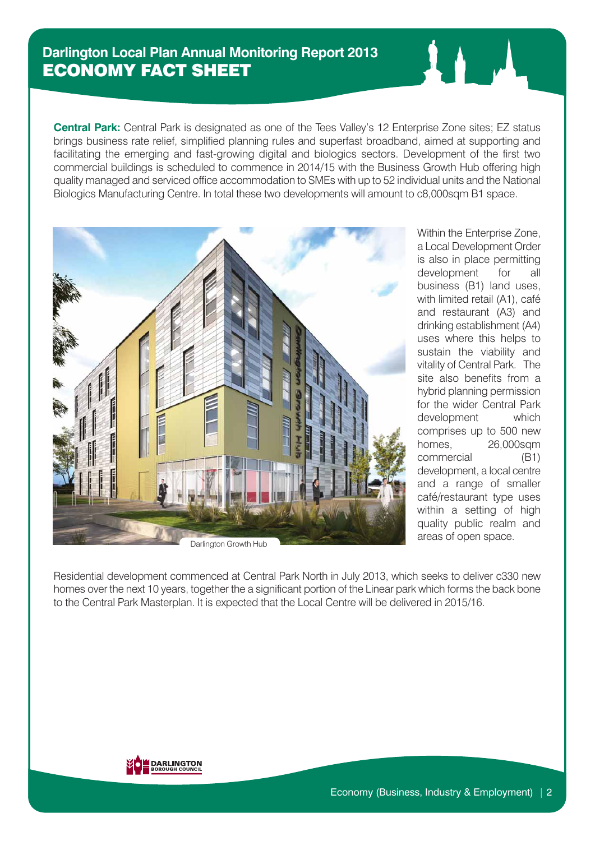### **Darlington Local Plan Annual Monitoring Report 2013** ECONOMY FACT SHEET

**Central Park:** Central Park is designated as one of the Tees Valley's 12 Enterprise Zone sites; EZ status brings business rate relief, simplified planning rules and superfast broadband, aimed at supporting and facilitating the emerging and fast-growing digital and biologics sectors. Development of the first two commercial buildings is scheduled to commence in 2014/15 with the Business Growth Hub offering high quality managed and serviced office accommodation to SMEs with up to 52 individual units and the National Biologics Manufacturing Centre. In total these two developments will amount to c8,000sqm B1 space.



Darlington Growth Hub

Within the Enterprise Zone, a Local Development Order is also in place permitting development for all business (B1) land uses, with limited retail (A1), café and restaurant (A3) and drinking establishment (A4) uses where this helps to sustain the viability and vitality of Central Park. The site also benefits from a hybrid planning permission for the wider Central Park development which comprises up to 500 new homes, 26,000sqm commercial (B1) development, a local centre and a range of smaller café/restaurant type uses within a setting of high quality public realm and areas of open space.

Residential development commenced at Central Park North in July 2013, which seeks to deliver c330 new homes over the next 10 years, together the a significant portion of the Linear park which forms the back bone to the Central Park Masterplan. It is expected that the Local Centre will be delivered in 2015/16.